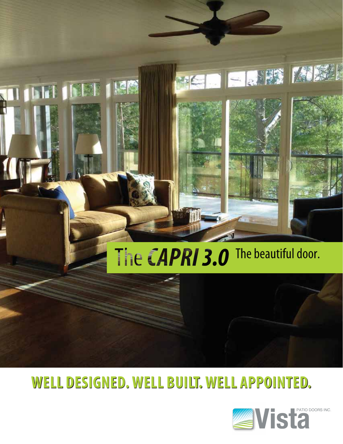

HEIDIG A PS MISSIN

### **WELL DESIGNED. WELL BUILT. WELL APPOINTED. WELL DESIGNED. WELL BUILT. WELL APPOINTED.**

**IGB** 

**INESE** 

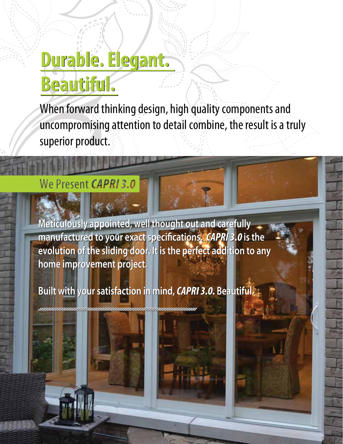# **Durable. Elegant. Durable. Elegant. Beautiful. Beautiful.**

When forward thinking design, high quality components and uncompromising attention to detail combine, the result is a truly superior product.

#### We Present CAPRI 3.0

**Meticulously appointed, well thought out and carefully Meticulously appointed, well thought out and carefully manufactured to your exact specifications.** *CAPRI 3.0* **is the manufactured to your exact specifications.** *CAPRI 3.0* **is the evolution of the sliding door. It is the perfect addition to any evolution of the sliding door. It is the perfect addition to any home project. home improvement project.**

**Built with your satisfaction in mind,** *CAPRI 3.0.* **Beautiful. Built with your satisfaction in mind,** *CAPRI 3.0.* **Beautiful.**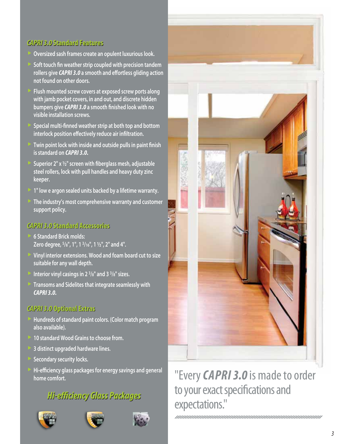### *CAPRI 3.0* **Standard Features** *CAPRI 3.0* **Standard Features**

- **Oversized sash frames create an opulent luxurious look.**
- **Soft touch fin weather strip coupled with precision tandem rollers give** *CAPRI 3.0* **a smooth and effortless gliding action not found on other doors.**
- **Flush mounted screw covers at exposed screw ports along with jamb pocket covers, in and out, and discrete hidden bumpers give** *CAPRI 3.0* **a smooth finished look with no visible installation screws.**
- **Special multi-finned weather strip at both top and bottom interlock position effectively reduce air infiltration.**
- **Twin point lock with inside and outside pulls in paint finish is standard on** *CAPRI 3.0.*
- **Superior 2" x ½" screen with fiberglass mesh, adjustable steel rollers, lock with pull handles and heavy duty zinc keeper.**
- **1" low e argon sealed units backed by a lifetime warranty.**
- **The industry's most comprehensive warranty and customer support policy.**

### *CAPRI 3.0* **Standard Accessories** *CAPRI 3.0* **Standard Accessories**

- **6 Standard Brick molds: Zero degree, 5/8", 1", 1 3/16", 1 ½", 2" and 4".**
- **Vinyl interior extensions. Wood and foam board cut to size suitable for any wall depth.**
- **Interior vinyl casings in 2 3/8" and 3 3/8" sizes.**
- **Transoms and Sidelites that integrate seamlessly with CAPRI 3.0.**

### *CAPRI 3.0* **Optional Extras** *CAPRI 3.0* **Optional Extras**

- **Hundreds of standard paint colors. (Color match program also available).**
- **10 standard Wood Grains to choose from.**
- **3 distinct upgraded hardware lines.**
- **Secondary security locks.**
- **Hi-efficiency glass packages for energy savings and general home comfort.**

#### *Hi-efficiency Glass Packages Hi-efficiency Glass Packages*









#### "Every *CAPRI 3.0* is made to order to your exact specifications and expectations."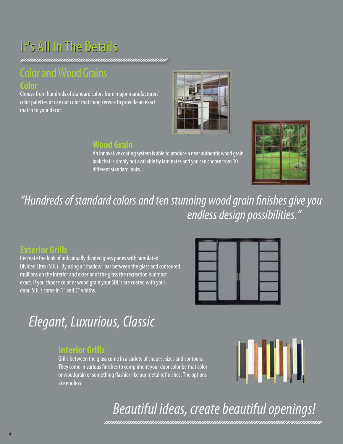### It's All In The Details

#### Color and Wood Grains **Color**

Choose from hundreds of standard colors from major manufacturers' color palettes or use our color matching service to provide an exact match to your décor.



#### **Wood Grain**

An innovative coating system is able to produce a near authentic wood grain look that is simply not available by laminates and you can choose from 10 different standard looks.



"Hundreds of standard colors and ten stunning wood grain finishes give you endless design possibilities."

#### **Exterior Grills**

Recreate the look of individually divided glass panes with Simulated Divided Lites (SDL) . By using a "shadow" bar between the glass and contoured mullions on the interior and exterior of the glass the recreation is almost exact. If you choose color or wood grain your SDL's are coated with your door. SDL's come in 1" and 2" widths.



### Elegant, Luxurious, Classic

#### **Interior Grills**

Grills between the glass come in a variety of shapes, sizes and contours. They come in various finishes to compliment your door color be that color or woodgrain or something flashier like our metallic finishes. The options are endless!



### Beautiful ideas, create beautiful openings!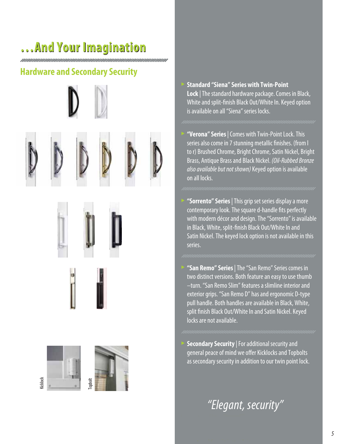### **…And Your Imagination …And Your**

#### **Hardware and Secondary Security**





















- **"Verona" Series** | Comes with Twin-Point Lock. This series also come in 7 stunning metallic finishes. (from l to r) Brushed Chrome, Bright Chrome, Satin Nickel, Bright Brass, Antique Brass and Black Nickel. (Oil-Rubbed Bronze also available but not shown) Keyed option is available on all locks.
- **"Sorrento" Series** | This grip set series display a more contemporary look. The square d-handle fits perfectly with modern décor and design. The "Sorrento" is available in Black, White, split-finish Black Out/White In and Satin Nickel. The keyed lock option is not available in this series.
- **"San Remo" Series** | The "San Remo" Series comes in two distinct versions. Both feature an easy to use thumb –turn. "San Remo Slim" features a slimline interior and exterior grips. "San Remo D" has and ergonomic D-type pull handle. Both handles are available in Black, White, split finish Black Out/White In and Satin Nickel. Keyed locks are not available.
- **Secondary Security** | For additional security and general peace of mind we offer Kicklocks and Topbolts as secondary security in addition to our twin point lock.

"Elegant, security"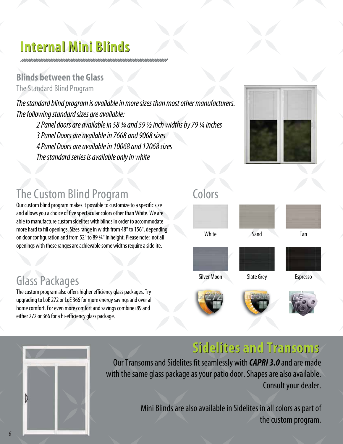### **Internal Mini Blinds Internal Mini Blinds**

#### **Blinds between the Glass** The Standard Blind Program

The standard blind program is available in more sizes than most other manufacturers. The following standard sizes are available:

 2 Panel doors are available in 58 ¾ and 59 ½ inch widths by 79 ¼ inches 3 Panel Doors are available in 7668 and 9068 sizes 4 Panel Doors are available in 10068 and 12068 sizes The standard series is available only in white



#### The Custom Blind Program

Our custom blind program makes it possible to customize to a specific size and allows you a choice of five spectacular colors other than White. We are able to manufacture custom sidelites with blinds in order to accommodate more hard to fill openings. Sizes range in width from 48" to 156", depending on door configuration and from 52" to 89 ¾" in height. Please note: not all openings with these ranges are achievable some widths require a sidelite.

#### Glass Packages

The custom program also offers higher efficiency glass packages. Try upgrading to LoE 272 or LoE 366 for more energy savings and over all home comfort. For even more comfort and savings combine i89 and either 272 or 366 for a hi-efficiency glass package.





#### **Sidelites and Transoms Sidelites and Transoms**

Our Transoms and Sidelites fit seamlessly with *CAPRI 3.0* and are made with the same glass package as your patio door. Shapes are also available. Consult your dealer.

> Mini Blinds are also available in Sidelites in all colors as part of the custom program.

#### Colors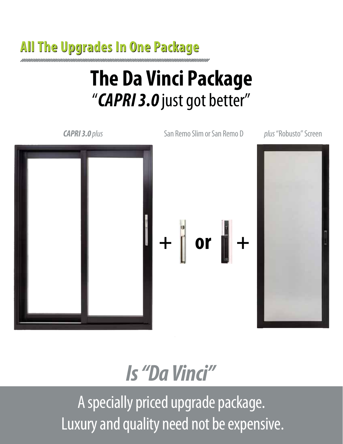## **All The Upgrades In One Package All The Upgrades In One Package**

# **The Da Vinci Package** "*CAPRI 3.0* just got better"

**CAPRI 3.0** plus San Remo Slim or San Remo D plus "Robusto" Screen



*Is "Da Vinci"* A specially priced upgrade package. Luxury and quality need not be expensive.